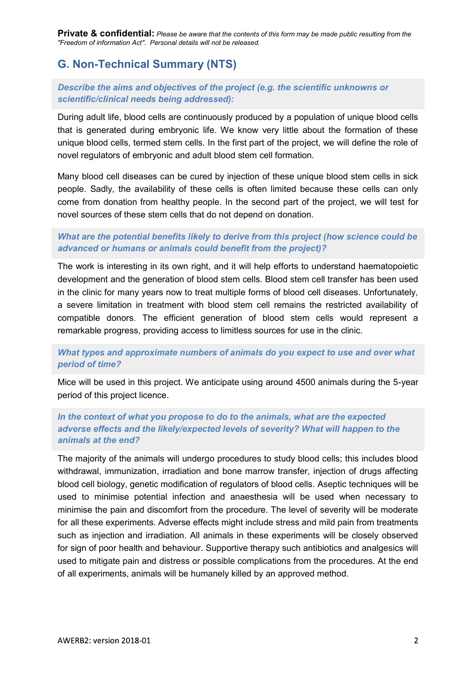Private & confidential: Please be aware that the contents of this form may be made public resulting from the "Freedom of information Act". Personal details will not be released.

# G. Non-Technical Summary (NTS)

# Describe the aims and objectives of the project (e.g. the scientific unknowns or scientific/clinical needs being addressed):

During adult life, blood cells are continuously produced by a population of unique blood cells that is generated during embryonic life. We know very little about the formation of these unique blood cells, termed stem cells. In the first part of the project, we will define the role of novel regulators of embryonic and adult blood stem cell formation.

Many blood cell diseases can be cured by injection of these unique blood stem cells in sick people. Sadly, the availability of these cells is often limited because these cells can only come from donation from healthy people. In the second part of the project, we will test for novel sources of these stem cells that do not depend on donation.

# What are the potential benefits likely to derive from this project (how science could be advanced or humans or animals could benefit from the project)?

The work is interesting in its own right, and it will help efforts to understand haematopoietic development and the generation of blood stem cells. Blood stem cell transfer has been used in the clinic for many years now to treat multiple forms of blood cell diseases. Unfortunately, a severe limitation in treatment with blood stem cell remains the restricted availability of compatible donors. The efficient generation of blood stem cells would represent a remarkable progress, providing access to limitless sources for use in the clinic.

# What types and approximate numbers of animals do you expect to use and over what period of time?

Mice will be used in this project. We anticipate using around 4500 animals during the 5-year period of this project licence.

# In the context of what you propose to do to the animals, what are the expected adverse effects and the likely/expected levels of severity? What will happen to the animals at the end?

The majority of the animals will undergo procedures to study blood cells; this includes blood withdrawal, immunization, irradiation and bone marrow transfer, injection of drugs affecting blood cell biology, genetic modification of regulators of blood cells. Aseptic techniques will be used to minimise potential infection and anaesthesia will be used when necessary to minimise the pain and discomfort from the procedure. The level of severity will be moderate for all these experiments. Adverse effects might include stress and mild pain from treatments such as injection and irradiation. All animals in these experiments will be closely observed for sign of poor health and behaviour. Supportive therapy such antibiotics and analgesics will used to mitigate pain and distress or possible complications from the procedures. At the end of all experiments, animals will be humanely killed by an approved method.